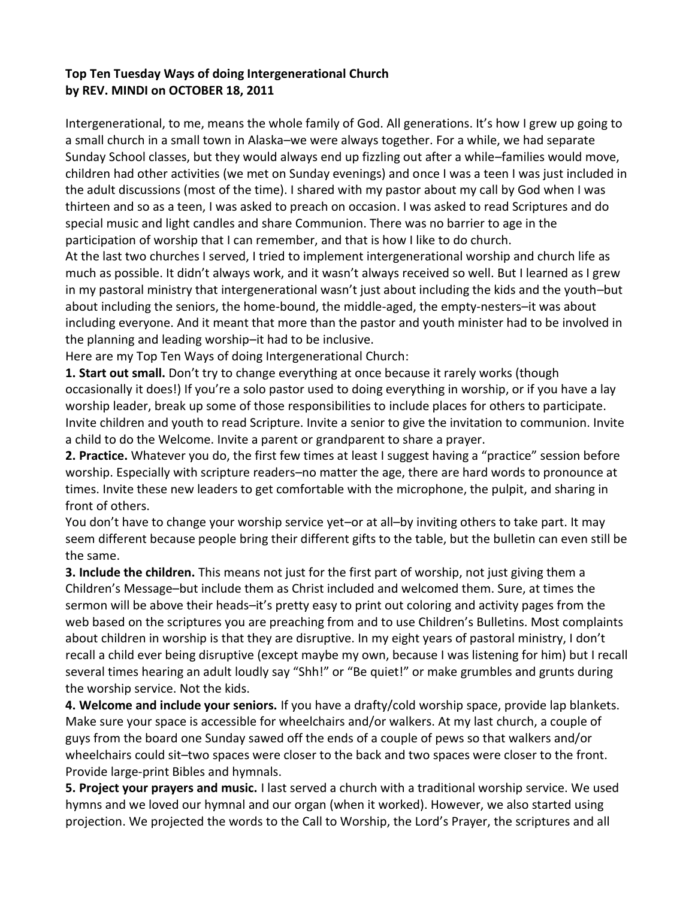## **Top Ten Tuesday Ways of doing Intergenerational Church by [REV. MINDI](http://rev-o-lution.org/author/admin/) on OCTOBER 18, 2011**

Intergenerational, to me, means the whole family of God. All generations. It's how I grew up going to a small church in a small town in Alaska–we were always together. For a while, we had separate Sunday School classes, but they would always end up fizzling out after a while–families would move, children had other activities (we met on Sunday evenings) and once I was a teen I was just included in the adult discussions (most of the time). I shared with my pastor about my call by God when I was thirteen and so as a teen, I was asked to preach on occasion. I was asked to read Scriptures and do special music and light candles and share Communion. There was no barrier to age in the participation of worship that I can remember, and that is how I like to do church.

At the last two churches I served, I tried to implement intergenerational worship and church life as much as possible. It didn't always work, and it wasn't always received so well. But I learned as I grew in my pastoral ministry that intergenerational wasn't just about including the kids and the youth–but about including the seniors, the home-bound, the middle-aged, the empty-nesters–it was about including everyone. And it meant that more than the pastor and youth minister had to be involved in the planning and leading worship–it had to be inclusive.

Here are my Top Ten Ways of doing Intergenerational Church:

**1. Start out small.** Don't try to change everything at once because it rarely works (though occasionally it does!) If you're a solo pastor used to doing everything in worship, or if you have a lay worship leader, break up some of those responsibilities to include places for others to participate. Invite children and youth to read Scripture. Invite a senior to give the invitation to communion. Invite a child to do the Welcome. Invite a parent or grandparent to share a prayer.

**2. Practice.** Whatever you do, the first few times at least I suggest having a "practice" session before worship. Especially with scripture readers–no matter the age, there are hard words to pronounce at times. Invite these new leaders to get comfortable with the microphone, the pulpit, and sharing in front of others.

You don't have to change your worship service yet–or at all–by inviting others to take part. It may seem different because people bring their different gifts to the table, but the bulletin can even still be the same.

**3. Include the children.** This means not just for the first part of worship, not just giving them a Children's Message–but include them as Christ included and welcomed them. Sure, at times the sermon will be above their heads–it's pretty easy to print out coloring and activity pages from the web based on the scriptures you are preaching from and to use Children's Bulletins. Most complaints about children in worship is that they are disruptive. In my eight years of pastoral ministry, I don't recall a child ever being disruptive (except maybe my own, because I was listening for him) but I recall several times hearing an adult loudly say "Shh!" or "Be quiet!" or make grumbles and grunts during the worship service. Not the kids.

**4. Welcome and include your seniors.** If you have a drafty/cold worship space, provide lap blankets. Make sure your space is accessible for wheelchairs and/or walkers. At my last church, a couple of guys from the board one Sunday sawed off the ends of a couple of pews so that walkers and/or wheelchairs could sit–two spaces were closer to the back and two spaces were closer to the front. Provide large-print Bibles and hymnals.

**5. Project your prayers and music.** I last served a church with a traditional worship service. We used hymns and we loved our hymnal and our organ (when it worked). However, we also started using projection. We projected the words to the Call to Worship, the Lord's Prayer, the scriptures and all